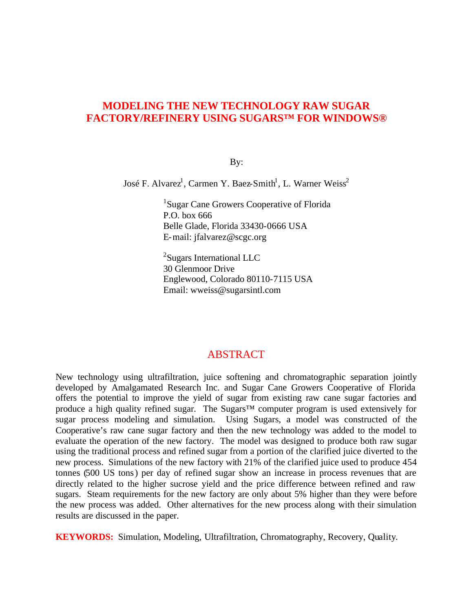# **MODELING THE NEW TECHNOLOGY RAW SUGAR FACTORY/REFINERY USING SUGARS™ FOR WINDOWS®**

By:

José F. Alvarez<sup>1</sup>, Carmen Y. Baez-Smith<sup>1</sup>, L. Warner Weiss<sup>2</sup>

<sup>1</sup>Sugar Cane Growers Cooperative of Florida P.O. box 666 Belle Glade, Florida 33430-0666 USA E-mail: jfalvarez@scgc.org

<sup>2</sup>Sugars International LLC 30 Glenmoor Drive Englewood, Colorado 80110-7115 USA Email: wweiss@sugarsintl.com

## ABSTRACT

New technology using ultrafiltration, juice softening and chromatographic separation jointly developed by Amalgamated Research Inc. and Sugar Cane Growers Cooperative of Florida offers the potential to improve the yield of sugar from existing raw cane sugar factories and produce a high quality refined sugar. The Sugars™ computer program is used extensively for sugar process modeling and simulation. Using Sugars, a model was constructed of the Cooperative's raw cane sugar factory and then the new technology was added to the model to evaluate the operation of the new factory. The model was designed to produce both raw sugar using the traditional process and refined sugar from a portion of the clarified juice diverted to the new process. Simulations of the new factory with 21% of the clarified juice used to produce 454 tonnes (500 US tons) per day of refined sugar show an increase in process revenues that are directly related to the higher sucrose yield and the price difference between refined and raw sugars. Steam requirements for the new factory are only about 5% higher than they were before the new process was added. Other alternatives for the new process along with their simulation results are discussed in the paper.

**KEYWORDS:** Simulation, Modeling, Ultrafiltration, Chromatography, Recovery, Quality.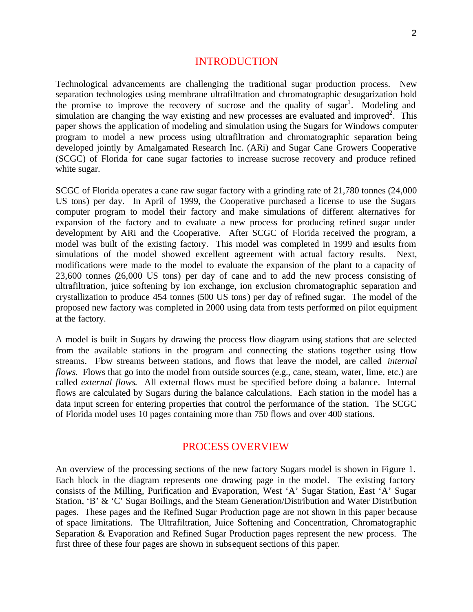#### INTRODUCTION

Technological advancements are challenging the traditional sugar production process. New separation technologies using membrane ultrafiltration and chromatographic desugarization hold the promise to improve the recovery of sucrose and the quality of sugar<sup>1</sup>. Modeling and simulation are changing the way existing and new processes are evaluated and improved<sup>2</sup>. This paper shows the application of modeling and simulation using the Sugars for Windows computer program to model a new process using ultrafiltration and chromatographic separation being developed jointly by Amalgamated Research Inc. (ARi) and Sugar Cane Growers Cooperative (SCGC) of Florida for cane sugar factories to increase sucrose recovery and produce refined white sugar.

SCGC of Florida operates a cane raw sugar factory with a grinding rate of 21,780 tonnes (24,000 US tons) per day. In April of 1999, the Cooperative purchased a license to use the Sugars computer program to model their factory and make simulations of different alternatives for expansion of the factory and to evaluate a new process for producing refined sugar under development by ARi and the Cooperative. After SCGC of Florida received the program, a model was built of the existing factory. This model was completed in 1999 and results from simulations of the model showed excellent agreement with actual factory results. Next, modifications were made to the model to evaluate the expansion of the plant to a capacity of 23,600 tonnes (26,000 US tons) per day of cane and to add the new process consisting of ultrafiltration, juice softening by ion exchange, ion exclusion chromatographic separation and crystallization to produce 454 tonnes (500 US tons) per day of refined sugar. The model of the proposed new factory was completed in 2000 using data from tests performed on pilot equipment at the factory.

A model is built in Sugars by drawing the process flow diagram using stations that are selected from the available stations in the program and connecting the stations together using flow streams. Fbw streams between stations, and flows that leave the model, are called *internal flows*. Flows that go into the model from outside sources (e.g., cane, steam, water, lime, etc.) are called *external flows*. All external flows must be specified before doing a balance. Internal flows are calculated by Sugars during the balance calculations. Each station in the model has a data input screen for entering properties that control the performance of the station. The SCGC of Florida model uses 10 pages containing more than 750 flows and over 400 stations.

#### PROCESS OVERVIEW

An overview of the processing sections of the new factory Sugars model is shown in Figure 1. Each block in the diagram represents one drawing page in the model. The existing factory consists of the Milling, Purification and Evaporation, West 'A' Sugar Station, East 'A' Sugar Station, 'B' & 'C' Sugar Boilings, and the Steam Generation/Distribution and Water Distribution pages. These pages and the Refined Sugar Production page are not shown in this paper because of space limitations. The Ultrafiltration, Juice Softening and Concentration, Chromatographic Separation & Evaporation and Refined Sugar Production pages represent the new process. The first three of these four pages are shown in subsequent sections of this paper.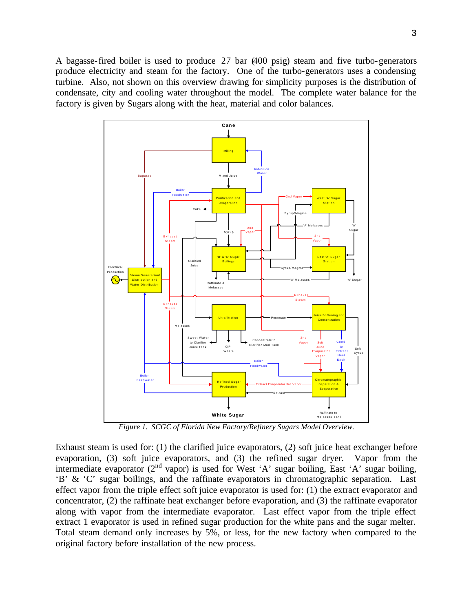A bagasse-fired boiler is used to produce 27 bar (400 psig) steam and five turbo-generators produce electricity and steam for the factory. One of the turbo-generators uses a condensing turbine. Also, not shown on this overview drawing for simplicity purposes is the distribution of condensate, city and cooling water throughout the model. The complete water balance for the factory is given by Sugars along with the heat, material and color balances.



*Figure 1. SCGC of Florida New Factory/Refinery Sugars Model Overview.*

Exhaust steam is used for: (1) the clarified juice evaporators, (2) soft juice heat exchanger before evaporation, (3) soft juice evaporators, and (3) the refined sugar dryer. Vapor from the intermediate evaporator  $(2^{nd}$  vapor) is used for West 'A' sugar boiling, East 'A' sugar boiling, 'B' & 'C' sugar boilings, and the raffinate evaporators in chromatographic separation. Last effect vapor from the triple effect soft juice evaporator is used for: (1) the extract evaporator and concentrator, (2) the raffinate heat exchanger before evaporation, and (3) the raffinate evaporator along with vapor from the intermediate evaporator. Last effect vapor from the triple effect extract 1 evaporator is used in refined sugar production for the white pans and the sugar melter. Total steam demand only increases by 5%, or less, for the new factory when compared to the original factory before installation of the new process.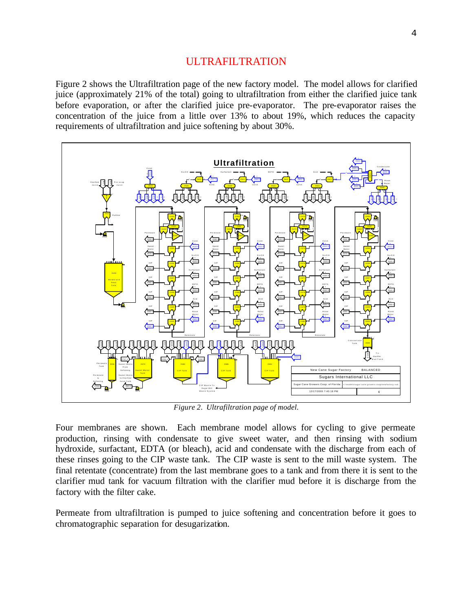#### ULTRAFILTRATION

Figure 2 shows the Ultrafiltration page of the new factory model. The model allows for clarified juice (approximately 21% of the total) going to ultrafiltration from either the clarified juice tank before evaporation, or after the clarified juice pre-evaporator. The pre-evaporator raises the concentration of the juice from a little over 13% to about 19%, which reduces the capacity requirements of ultrafiltration and juice softening by about 30%.



*Figure 2. Ultrafiltration page of model.*

Four membranes are shown. Each membrane model allows for cycling to give permeate production, rinsing with condensate to give sweet water, and then rinsing with sodium hydroxide, surfactant, EDTA (or bleach), acid and condensate with the discharge from each of these rinses going to the CIP waste tank. The CIP waste is sent to the mill waste system. The final retentate (concentrate) from the last membrane goes to a tank and from there it is sent to the clarifier mud tank for vacuum filtration with the clarifier mud before it is discharge from the factory with the filter cake.

Permeate from ultrafiltration is pumped to juice softening and concentration before it goes to chromatographic separation for desugarization.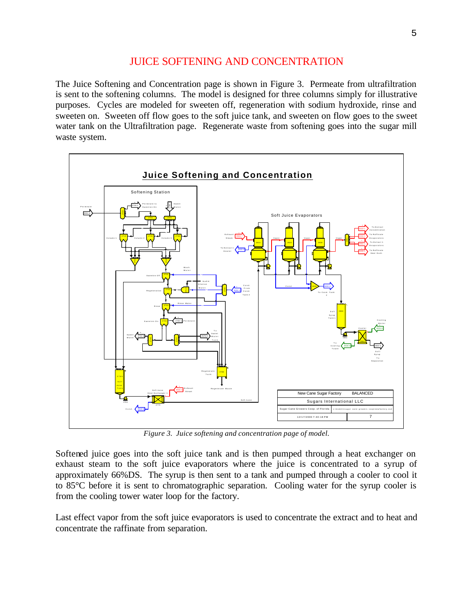## JUICE SOFTENING AND CONCENTRATION

The Juice Softening and Concentration page is shown in Figure 3. Permeate from ultrafiltration is sent to the softening columns. The model is designed for three columns simply for illustrative purposes. Cycles are modeled for sweeten off, regeneration with sodium hydroxide, rinse and sweeten on. Sweeten off flow goes to the soft juice tank, and sweeten on flow goes to the sweet water tank on the Ultrafiltration page. Regenerate waste from softening goes into the sugar mill waste system.



*Figure 3. Juice softening and concentration page of model.*

Softened juice goes into the soft juice tank and is then pumped through a heat exchanger on exhaust steam to the soft juice evaporators where the juice is concentrated to a syrup of approximately 66%DS. The syrup is then sent to a tank and pumped through a cooler to cool it to 85°C before it is sent to chromatographic separation. Cooling water for the syrup cooler is from the cooling tower water loop for the factory.

Last effect vapor from the soft juice evaporators is used to concentrate the extract and to heat and concentrate the raffinate from separation.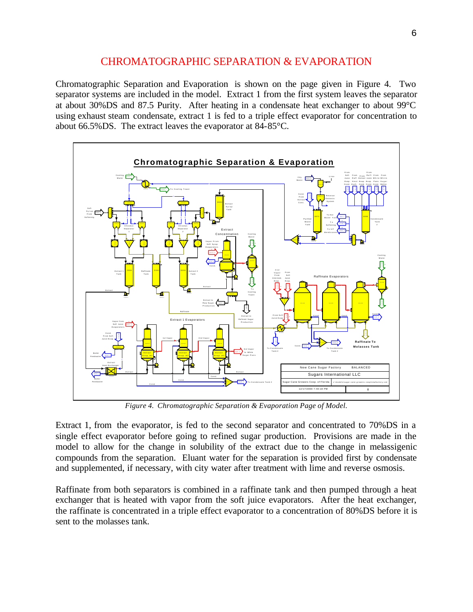# CHROMATOGRAPHIC SEPARATION & EVAPORATION

Chromatographic Separation and Evaporation is shown on the page given in Figure 4. Two separator systems are included in the model. Extract 1 from the first system leaves the separator at about 30%DS and 87.5 Purity. After heating in a condensate heat exchanger to about 99°C using exhaust steam condensate, extract 1 is fed to a triple effect evaporator for concentration to about 66.5%DS. The extract leaves the evaporator at 84-85°C.



*Figure 4. Chromatographic Separation & Evaporation Page of Model.*

Extract 1, from the evaporator, is fed to the second separator and concentrated to 70%DS in a single effect evaporator before going to refined sugar production. Provisions are made in the model to allow for the change in solubility of the extract due to the change in melassigenic compounds from the separation. Eluant water for the separation is provided first by condensate and supplemented, if necessary, with city water after treatment with lime and reverse osmosis.

Raffinate from both separators is combined in a raffinate tank and then pumped through a heat exchanger that is heated with vapor from the soft juice evaporators. After the heat exchanger, the raffinate is concentrated in a triple effect evaporator to a concentration of 80%DS before it is sent to the molasses tank.